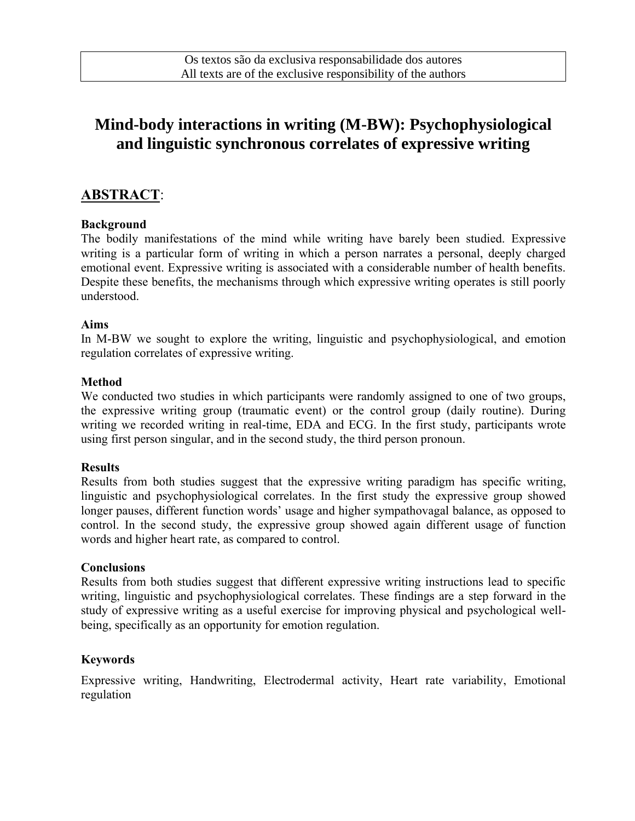# **Mind-body interactions in writing (M-BW): Psychophysiological and linguistic synchronous correlates of expressive writing**

### **ABSTRACT**:

#### **Background**

The bodily manifestations of the mind while writing have barely been studied. Expressive writing is a particular form of writing in which a person narrates a personal, deeply charged emotional event. Expressive writing is associated with a considerable number of health benefits. Despite these benefits, the mechanisms through which expressive writing operates is still poorly understood.

#### **Aims**

In M-BW we sought to explore the writing, linguistic and psychophysiological, and emotion regulation correlates of expressive writing.

#### **Method**

We conducted two studies in which participants were randomly assigned to one of two groups, the expressive writing group (traumatic event) or the control group (daily routine). During writing we recorded writing in real-time, EDA and ECG. In the first study, participants wrote using first person singular, and in the second study, the third person pronoun.

#### **Results**

Results from both studies suggest that the expressive writing paradigm has specific writing, linguistic and psychophysiological correlates. In the first study the expressive group showed longer pauses, different function words' usage and higher sympathovagal balance, as opposed to control. In the second study, the expressive group showed again different usage of function words and higher heart rate, as compared to control.

#### **Conclusions**

Results from both studies suggest that different expressive writing instructions lead to specific writing, linguistic and psychophysiological correlates. These findings are a step forward in the study of expressive writing as a useful exercise for improving physical and psychological wellbeing, specifically as an opportunity for emotion regulation.

#### **Keywords**

Expressive writing, Handwriting, Electrodermal activity, Heart rate variability, Emotional regulation